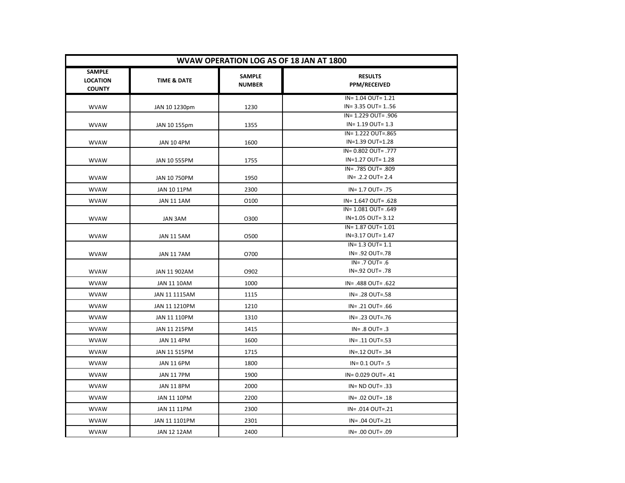| WVAW OPERATION LOG AS OF 18 JAN AT 1800           |                        |                                |                                            |
|---------------------------------------------------|------------------------|--------------------------------|--------------------------------------------|
| <b>SAMPLE</b><br><b>LOCATION</b><br><b>COUNTY</b> | <b>TIME &amp; DATE</b> | <b>SAMPLE</b><br><b>NUMBER</b> | <b>RESULTS</b><br>PPM/RECEIVED             |
|                                                   |                        |                                | IN= 1.04 OUT= 1.21                         |
| <b>WVAW</b>                                       | JAN 10 1230pm          | 1230                           | IN= 3.35 OUT= 156                          |
|                                                   |                        |                                | IN= 1.229 OUT= .906                        |
| <b>WVAW</b>                                       | JAN 10 155pm           | 1355                           | $IN = 1.19$ OUT= 1.3<br>IN= 1.222 OUT=.865 |
| <b>WVAW</b>                                       | <b>JAN 10 4PM</b>      | 1600                           | IN=1.39 OUT=1.28                           |
|                                                   |                        |                                | IN= 0.802 OUT= .777                        |
| <b>WVAW</b>                                       | JAN 10 555PM           | 1755                           | IN=1.27 OUT= 1.28                          |
|                                                   |                        |                                | IN= .785 OUT= .809                         |
| <b>WVAW</b>                                       | JAN 10 750PM           | 1950                           | $IN = .2.2$ OUT= 2.4                       |
| <b>WVAW</b>                                       | JAN 10 11PM            | 2300                           | IN= 1.7 OUT= .75                           |
| <b>WVAW</b>                                       | <b>JAN 11 1AM</b>      | 0100                           | IN= 1.647 OUT= .628                        |
|                                                   |                        |                                | IN= 1.081 OUT= .649                        |
| <b>WVAW</b>                                       | JAN 3AM                | 0300                           | IN=1.05 OUT= 3.12                          |
|                                                   |                        |                                | IN= 1.87 OUT= 1.01                         |
| <b>WVAW</b>                                       | JAN 11 5AM             | 0500                           | IN=3.17 OUT= 1.47                          |
|                                                   |                        |                                | $IN = 1.3$ OUT= $1.1$                      |
| <b>WVAW</b>                                       | <b>JAN 11 7AM</b>      | 0700                           | IN= .92 OUT=.78<br>$IN = .7$ OUT= $.6$     |
| <b>WVAW</b>                                       | JAN 11 902AM           | O902                           | IN=.92 OUT=.78                             |
| <b>WVAW</b>                                       | JAN 11 10AM            | 1000                           | IN= .488 OUT= .622                         |
| <b>WVAW</b>                                       | JAN 11 1115AM          | 1115                           | IN= .28 OUT=.58                            |
| <b>WVAW</b>                                       | JAN 11 1210PM          | 1210                           | IN= .21 OUT= .66                           |
| <b>WVAW</b>                                       |                        |                                |                                            |
|                                                   | JAN 11 110PM           | 1310                           | IN= .23 OUT=.76                            |
| <b>WVAW</b>                                       | JAN 11 215PM           | 1415                           | $IN = .8$ OUT= $.3$                        |
| <b>WVAW</b>                                       | <b>JAN 11 4PM</b>      | 1600                           | IN= .11 OUT=.53                            |
| <b>WVAW</b>                                       | JAN 11 515PM           | 1715                           | IN=.12 OUT= .34                            |
| <b>WVAW</b>                                       | <b>JAN 11 6PM</b>      | 1800                           | $IN = 0.1$ OUT= .5                         |
| <b>WVAW</b>                                       | <b>JAN 11 7PM</b>      | 1900                           | IN= 0.029 OUT= .41                         |
| <b>WVAW</b>                                       | <b>JAN 11 8PM</b>      | 2000                           | $IN = ND$ OUT= .33                         |
| <b>WVAW</b>                                       | <b>JAN 11 10PM</b>     | 2200                           | IN= .02 OUT= .18                           |
| <b>WVAW</b>                                       | JAN 11 11PM            | 2300                           | IN= .014 OUT=.21                           |
| <b>WVAW</b>                                       | JAN 11 1101PM          | 2301                           | IN= .04 OUT=.21                            |
| <b>WVAW</b>                                       | <b>JAN 12 12AM</b>     | 2400                           | IN= .00 OUT= .09                           |
|                                                   |                        |                                |                                            |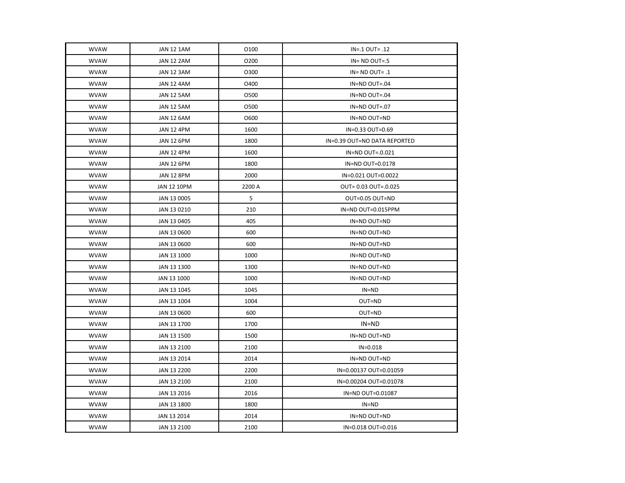| <b>WVAW</b> | <b>JAN 12 1AM</b>  | 0100   | $IN = .1$ OUT= $.12$         |
|-------------|--------------------|--------|------------------------------|
| <b>WVAW</b> | <b>JAN 12 2AM</b>  | 0200   | $IN = ND$ OUT=.5             |
| <b>WVAW</b> | <b>JAN 12 3AM</b>  | 0300   | $IN = ND$ OUT= $.1$          |
| <b>WVAW</b> | <b>JAN 12 4AM</b>  | O400   | IN=ND OUT=.04                |
| <b>WVAW</b> | <b>JAN 12 5AM</b>  | 0500   | IN=ND OUT=.04                |
| <b>WVAW</b> | JAN 12 5AM         | 0500   | IN=ND OUT=.07                |
| <b>WVAW</b> | <b>JAN 12 6AM</b>  | O600   | IN=ND OUT=ND                 |
| <b>WVAW</b> | <b>JAN 12 4PM</b>  | 1600   | IN=0.33 OUT=0.69             |
| <b>WVAW</b> | <b>JAN 12 6PM</b>  | 1800   | IN=0.39 OUT=NO DATA REPORTED |
| <b>WVAW</b> | <b>JAN 12 4PM</b>  | 1600   | IN=ND OUT=.0.021             |
| <b>WVAW</b> | <b>JAN 12 6PM</b>  | 1800   | IN=ND OUT=0.0178             |
| <b>WVAW</b> | <b>JAN 12 8PM</b>  | 2000   | IN=0.021 OUT=0.0022          |
| <b>WVAW</b> | <b>JAN 12 10PM</b> | 2200 A | OUT= 0.03 OUT=.0.025         |
| <b>WVAW</b> | JAN 13 0005        | 5      | OUT=0.05 OUT=ND              |
| <b>WVAW</b> | JAN 13 0210        | 210    | IN=ND OUT=0.015PPM           |
| <b>WVAW</b> | JAN 13 0405        | 405    | IN=ND OUT=ND                 |
| <b>WVAW</b> | JAN 13 0600        | 600    | IN=ND OUT=ND                 |
| <b>WVAW</b> | JAN 13 0600        | 600    | IN=ND OUT=ND                 |
| <b>WVAW</b> | JAN 13 1000        | 1000   | IN=ND OUT=ND                 |
| <b>WVAW</b> | JAN 13 1300        | 1300   | IN=ND OUT=ND                 |
| <b>WVAW</b> | JAN 13 1000        | 1000   | IN=ND OUT=ND                 |
| <b>WVAW</b> | JAN 13 1045        | 1045   | $IN = ND$                    |
| <b>WVAW</b> | JAN 13 1004        | 1004   | OUT=ND                       |
| <b>WVAW</b> | JAN 13 0600        | 600    | OUT=ND                       |
| <b>WVAW</b> | JAN 13 1700        | 1700   | IN=ND                        |
| <b>WVAW</b> | JAN 13 1500        | 1500   | IN=ND OUT=ND                 |
| <b>WVAW</b> | JAN 13 2100        | 2100   | $IN = 0.018$                 |
| <b>WVAW</b> | JAN 13 2014        | 2014   | IN=ND OUT=ND                 |
| <b>WVAW</b> | JAN 13 2200        | 2200   | IN=0.00137 OUT=0.01059       |
| <b>WVAW</b> | JAN 13 2100        | 2100   | IN=0.00204 OUT=0.01078       |
| <b>WVAW</b> | JAN 13 2016        | 2016   | IN=ND OUT=0.01087            |
| <b>WVAW</b> | JAN 13 1800        | 1800   | $IN = ND$                    |
| <b>WVAW</b> | JAN 13 2014        | 2014   | IN=ND OUT=ND                 |
| <b>WVAW</b> | JAN 13 2100        | 2100   | IN=0.018 OUT=0.016           |
|             |                    |        |                              |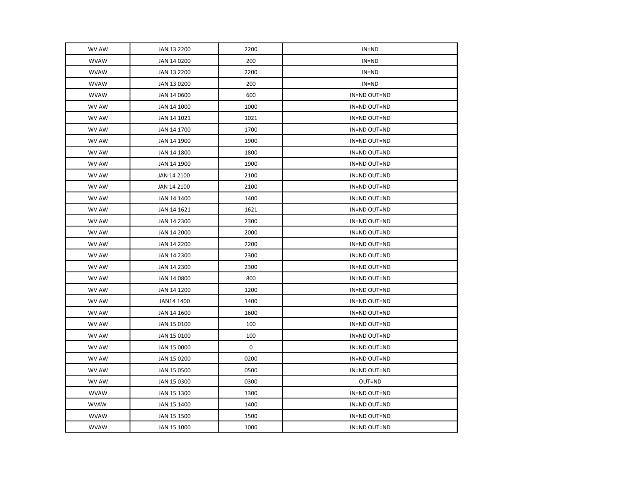| WV AW       | JAN 13 2200 | 2200 | $IN = ND$    |
|-------------|-------------|------|--------------|
| <b>WVAW</b> | JAN 14 0200 | 200  | $IN = ND$    |
| <b>WVAW</b> | JAN 13 2200 | 2200 | $IN = ND$    |
| <b>WVAW</b> | JAN 13 0200 | 200  | $IN = ND$    |
| <b>WVAW</b> | JAN 14 0600 | 600  | IN=ND OUT=ND |
| WV AW       | JAN 14 1000 | 1000 | IN=ND OUT=ND |
| WV AW       | JAN 14 1021 | 1021 | IN=ND OUT=ND |
| WV AW       | JAN 14 1700 | 1700 | IN=ND OUT=ND |
| WV AW       | JAN 14 1900 | 1900 | IN=ND OUT=ND |
| WV AW       | JAN 14 1800 | 1800 | IN=ND OUT=ND |
| WV AW       | JAN 14 1900 | 1900 | IN=ND OUT=ND |
| WV AW       | JAN 14 2100 | 2100 | IN=ND OUT=ND |
| WV AW       | JAN 14 2100 | 2100 | IN=ND OUT=ND |
| WV AW       | JAN 14 1400 | 1400 | IN=ND OUT=ND |
| WV AW       | JAN 14 1621 | 1621 | IN=ND OUT=ND |
| WV AW       | JAN 14 2300 | 2300 | IN=ND OUT=ND |
| WV AW       | JAN 14 2000 | 2000 | IN=ND OUT=ND |
| WV AW       | JAN 14 2200 | 2200 | IN=ND OUT=ND |
| WV AW       | JAN 14 2300 | 2300 | IN=ND OUT=ND |
| WV AW       | JAN 14 2300 | 2300 | IN=ND OUT=ND |
| WV AW       | JAN 14 0800 | 800  | IN=ND OUT=ND |
| WV AW       | JAN 14 1200 | 1200 | IN=ND OUT=ND |
| WV AW       | JAN14 1400  | 1400 | IN=ND OUT=ND |
| WV AW       | JAN 14 1600 | 1600 | IN=ND OUT=ND |
| WV AW       | JAN 15 0100 | 100  | IN=ND OUT=ND |
| WV AW       | JAN 15 0100 | 100  | IN=ND OUT=ND |
| WV AW       | JAN 15 0000 | 0    | IN=ND OUT=ND |
| WV AW       | JAN 15 0200 | 0200 | IN=ND OUT=ND |
| WV AW       | JAN 15 0500 | 0500 | IN=ND OUT=ND |
| WV AW       | JAN 15 0300 | 0300 | OUT=ND       |
| <b>WVAW</b> | JAN 15 1300 | 1300 | IN=ND OUT=ND |
| <b>WVAW</b> | JAN 15 1400 | 1400 | IN=ND OUT=ND |
| <b>WVAW</b> | JAN 15 1500 | 1500 | IN=ND OUT=ND |
| <b>WVAW</b> | JAN 15 1000 | 1000 | IN=ND OUT=ND |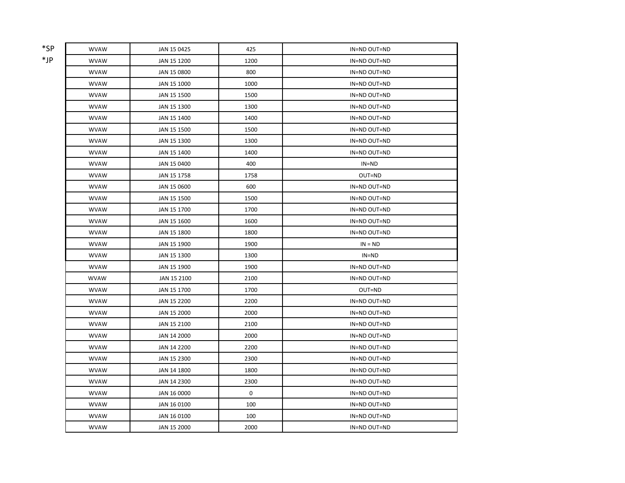| *SP | <b>WVAW</b> | JAN 15 0425 | 425  | IN=ND OUT=ND |
|-----|-------------|-------------|------|--------------|
| *JP | <b>WVAW</b> | JAN 15 1200 | 1200 | IN=ND OUT=ND |
|     | <b>WVAW</b> | JAN 15 0800 | 800  | IN=ND OUT=ND |
|     | <b>WVAW</b> | JAN 15 1000 | 1000 | IN=ND OUT=ND |
|     | <b>WVAW</b> | JAN 15 1500 | 1500 | IN=ND OUT=ND |
|     | <b>WVAW</b> | JAN 15 1300 | 1300 | IN=ND OUT=ND |
|     | <b>WVAW</b> | JAN 15 1400 | 1400 | IN=ND OUT=ND |
|     | <b>WVAW</b> | JAN 15 1500 | 1500 | IN=ND OUT=ND |
|     | <b>WVAW</b> | JAN 15 1300 | 1300 | IN=ND OUT=ND |
|     | <b>WVAW</b> | JAN 15 1400 | 1400 | IN=ND OUT=ND |
|     | <b>WVAW</b> | JAN 15 0400 | 400  | $IN = ND$    |
|     | <b>WVAW</b> | JAN 15 1758 | 1758 | OUT=ND       |
|     | <b>WVAW</b> | JAN 15 0600 | 600  | IN=ND OUT=ND |
|     | <b>WVAW</b> | JAN 15 1500 | 1500 | IN=ND OUT=ND |
|     | <b>WVAW</b> | JAN 15 1700 | 1700 | IN=ND OUT=ND |
|     | <b>WVAW</b> | JAN 15 1600 | 1600 | IN=ND OUT=ND |
|     | <b>WVAW</b> | JAN 15 1800 | 1800 | IN=ND OUT=ND |
|     | <b>WVAW</b> | JAN 15 1900 | 1900 | $IN = ND$    |
|     | <b>WVAW</b> | JAN 15 1300 | 1300 | IN=ND        |
|     | <b>WVAW</b> | JAN 15 1900 | 1900 | IN=ND OUT=ND |
|     | <b>WVAW</b> | JAN 15 2100 | 2100 | IN=ND OUT=ND |
|     | <b>WVAW</b> | JAN 15 1700 | 1700 | OUT=ND       |
|     | <b>WVAW</b> | JAN 15 2200 | 2200 | IN=ND OUT=ND |
|     | <b>WVAW</b> | JAN 15 2000 | 2000 | IN=ND OUT=ND |
|     | <b>WVAW</b> | JAN 15 2100 | 2100 | IN=ND OUT=ND |
|     | <b>WVAW</b> | JAN 14 2000 | 2000 | IN=ND OUT=ND |
|     | <b>WVAW</b> | JAN 14 2200 | 2200 | IN=ND OUT=ND |
|     | <b>WVAW</b> | JAN 15 2300 | 2300 | IN=ND OUT=ND |
|     | <b>WVAW</b> | JAN 14 1800 | 1800 | IN=ND OUT=ND |
|     | <b>WVAW</b> | JAN 14 2300 | 2300 | IN=ND OUT=ND |
|     | <b>WVAW</b> | JAN 16 0000 | 0    | IN=ND OUT=ND |
|     | <b>WVAW</b> | JAN 16 0100 | 100  | IN=ND OUT=ND |
|     | <b>WVAW</b> | JAN 16 0100 | 100  | IN=ND OUT=ND |
|     | <b>WVAW</b> | JAN 15 2000 | 2000 | IN=ND OUT=ND |
|     |             |             |      |              |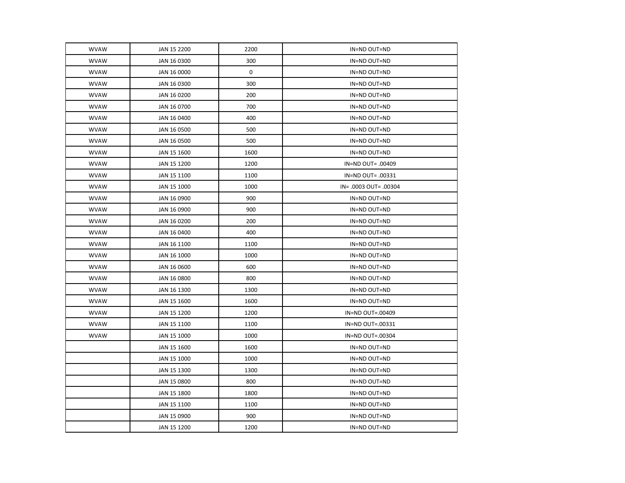| <b>WVAW</b> | JAN 15 2200 | 2200        | IN=ND OUT=ND          |
|-------------|-------------|-------------|-----------------------|
| <b>WVAW</b> | JAN 16 0300 | 300         | IN=ND OUT=ND          |
| <b>WVAW</b> | JAN 16 0000 | $\mathbf 0$ | IN=ND OUT=ND          |
| <b>WVAW</b> | JAN 16 0300 | 300         | IN=ND OUT=ND          |
| <b>WVAW</b> | JAN 16 0200 | 200         | IN=ND OUT=ND          |
| <b>WVAW</b> | JAN 16 0700 | 700         | IN=ND OUT=ND          |
| <b>WVAW</b> | JAN 16 0400 | 400         | IN=ND OUT=ND          |
| <b>WVAW</b> | JAN 16 0500 | 500         | IN=ND OUT=ND          |
| <b>WVAW</b> | JAN 16 0500 | 500         | IN=ND OUT=ND          |
| <b>WVAW</b> | JAN 15 1600 | 1600        | IN=ND OUT=ND          |
| <b>WVAW</b> | JAN 15 1200 | 1200        | IN=ND OUT= .00409     |
| <b>WVAW</b> | JAN 15 1100 | 1100        | IN=ND OUT= .00331     |
| <b>WVAW</b> | JAN 15 1000 | 1000        | IN= .0003 OUT= .00304 |
| <b>WVAW</b> | JAN 16 0900 | 900         | IN=ND OUT=ND          |
| <b>WVAW</b> | JAN 16 0900 | 900         | IN=ND OUT=ND          |
| <b>WVAW</b> | JAN 16 0200 | 200         | IN=ND OUT=ND          |
| <b>WVAW</b> | JAN 16 0400 | 400         | IN=ND OUT=ND          |
| <b>WVAW</b> | JAN 16 1100 | 1100        | IN=ND OUT=ND          |
| <b>WVAW</b> | JAN 16 1000 | 1000        | IN=ND OUT=ND          |
| <b>WVAW</b> | JAN 16 0600 | 600         | IN=ND OUT=ND          |
| <b>WVAW</b> | JAN 16 0800 | 800         | IN=ND OUT=ND          |
| <b>WVAW</b> | JAN 16 1300 | 1300        | IN=ND OUT=ND          |
| <b>WVAW</b> | JAN 15 1600 | 1600        | IN=ND OUT=ND          |
| <b>WVAW</b> | JAN 15 1200 | 1200        | IN=ND OUT=.00409      |
| <b>WVAW</b> | JAN 15 1100 | 1100        | IN=ND OUT=.00331      |
| <b>WVAW</b> | JAN 15 1000 | 1000        | IN=ND OUT=.00304      |
|             | JAN 15 1600 | 1600        | IN=ND OUT=ND          |
|             | JAN 15 1000 | 1000        | IN=ND OUT=ND          |
|             | JAN 15 1300 | 1300        | IN=ND OUT=ND          |
|             | JAN 15 0800 | 800         | IN=ND OUT=ND          |
|             | JAN 15 1800 | 1800        | IN=ND OUT=ND          |
|             | JAN 15 1100 | 1100        | IN=ND OUT=ND          |
|             | JAN 15 0900 | 900         | IN=ND OUT=ND          |
|             | JAN 15 1200 | 1200        | IN=ND OUT=ND          |
|             |             |             |                       |